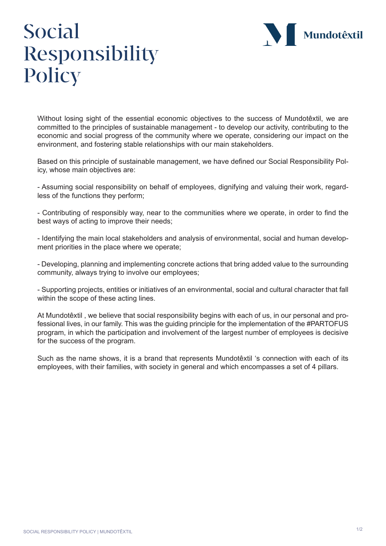

## Social Responsibility **Policy**

Without losing sight of the essential economic objectives to the success of Mundotêxtil, we are committed to the principles of sustainable management - to develop our activity, contributing to the economic and social progress of the community where we operate, considering our impact on the environment, and fostering stable relationships with our main stakeholders.

Based on this principle of sustainable management, we have defined our Social Responsibility Policy, whose main objectives are:

- Assuming social responsibility on behalf of employees, dignifying and valuing their work, regardless of the functions they perform;

- Contributing of responsibly way, near to the communities where we operate, in order to find the best ways of acting to improve their needs;

- Identifying the main local stakeholders and analysis of environmental, social and human development priorities in the place where we operate;

- Developing, planning and implementing concrete actions that bring added value to the surrounding community, always trying to involve our employees;

- Supporting projects, entities or initiatives of an environmental, social and cultural character that fall within the scope of these acting lines.

At Mundotêxtil , we believe that social responsibility begins with each of us, in our personal and professional lives, in our family. This was the guiding principle for the implementation of the #PARTOFUS program, in which the participation and involvement of the largest number of employees is decisive for the success of the program.

Such as the name shows, it is a brand that represents Mundotêxtil 's connection with each of its employees, with their families, with society in general and which encompasses a set of 4 pillars.